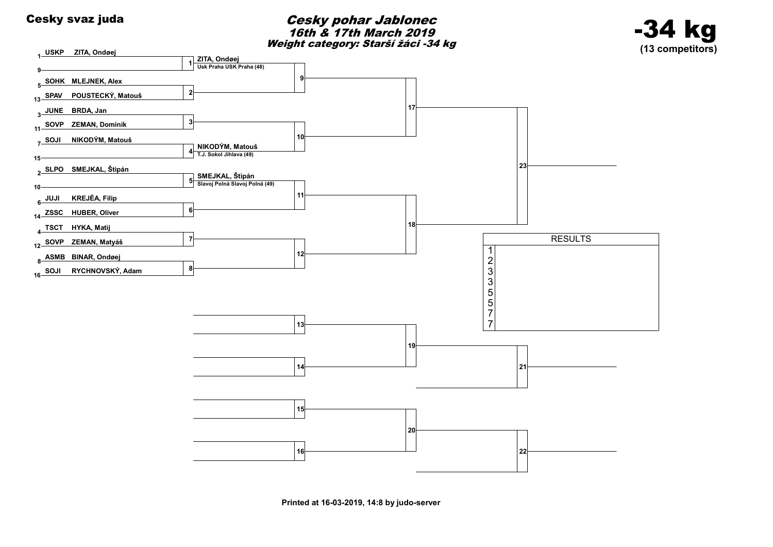### Cesky svaz juda<br>
Cesky svaz juda 16th & 17th March 2019 Weight category: Starší žáci -34 kg



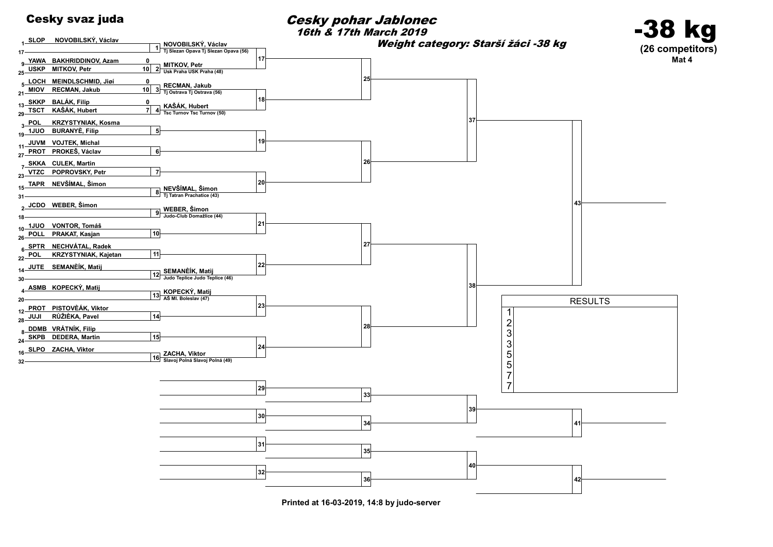

16th & 17th March 2019

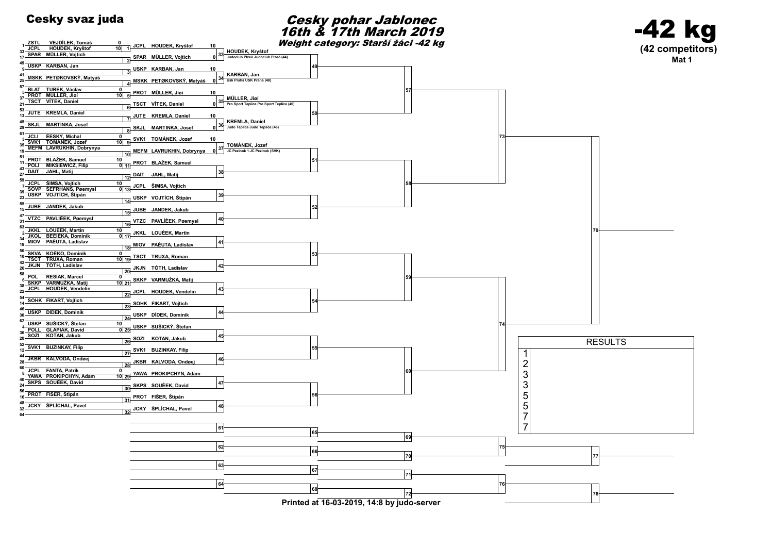### Cesky svaz juda<br>
Cesky pohar Jablonec 16th & 17th March 2019 Weight category: Starší žáci -42 kg



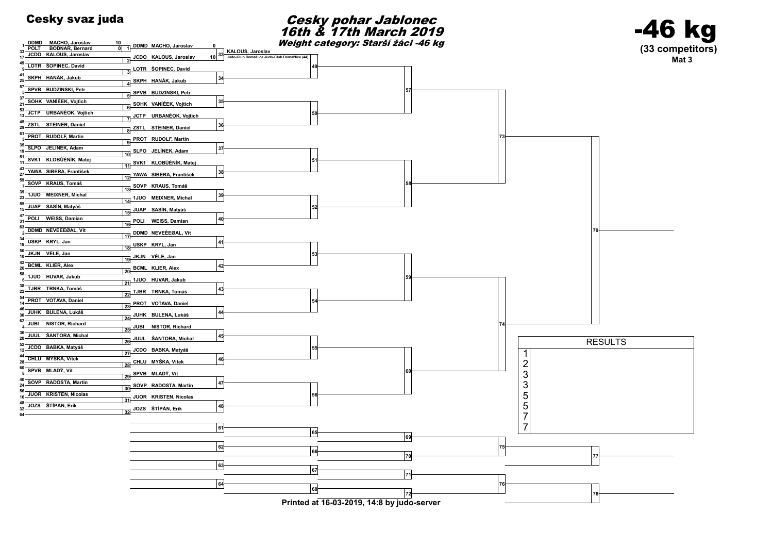### Cesky svaz juda<br>
Cesky pohar Jablonec 16th & 17th March 2019 Weight category: Starší žáci -46 kg



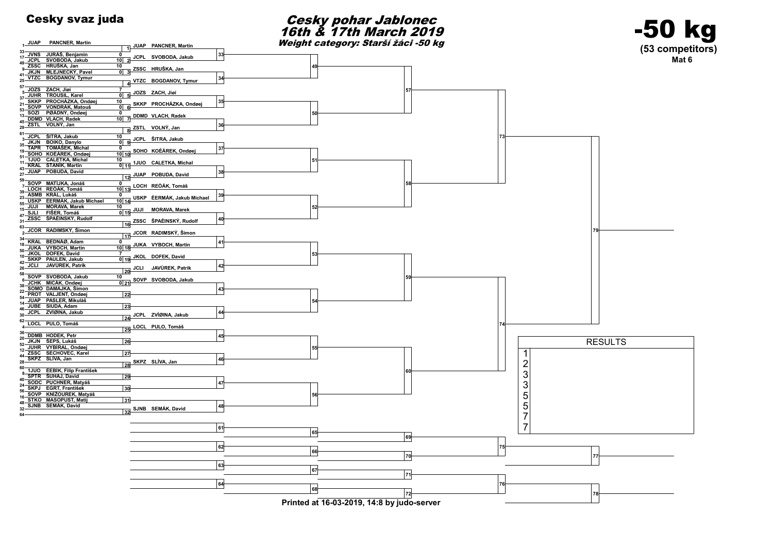<sup>33</sup> JVNS JURÁŠ, Benjamin JCPL SVOBODA, Jakub <sup>10</sup> <sup>17</sup>

13 DDMD VLACH, Radek 10

SOHO KOÈÁREK, Ondøej <sup>10</sup> <sup>0</sup> <sup>10</sup> <sup>19</sup>

 $\frac{11}{11}$  KRAL STANÌK, Martin  $\frac{11}{11}$ 

<sup>12</sup> <sup>27</sup> <sup>59</sup> SOVP MATÌJKA, Jonáš LOCH REÒÁK, Tomáš <sup>13</sup> <sup>0</sup> 7

USKP ÈERMÁK, Jakub Michael <sup>14</sup> <sup>0</sup> <sup>10</sup> <sup>23</sup>

JUKA VYBOCH, Martin <sup>18</sup> <sup>0</sup> <sup>10</sup> <sup>18</sup>

SKKP PAULEN, Jakub 0 19

22 DOMO DAMADISK, OMIGHT<br>54 PROT VALJENT, Ondøej 22

JUBE SIUDA, Adam 23

 $^-$ 

3  $\frac{10}{\text{0}}$ 

7<br>0 5

 $\begin{array}{c|c}\n\hline\n10 & 15\n\end{array}$ 

0 7 DDMD VLACH, Radek<br>0 7

JOZS ZACH, Jiøí

JUAP PANCNER, Martin

ZSSC HRUŠKA, Jan

<u>10 gJCPL ŠITRA, Jakub</u><br><u>0 9</u>

10<br>0 | 11 | 1JUO CALETKA, Michal

JUAP POBUDA, David

0<br>10 13 LOCH REÒÁK, Tomáš

17 JCOR RADIMSKÝ, Šimon

1 USKP ÈERMÁK, Jakub Michael JUJI MORAVA, Marek

10<br>0 21 SOVP SVOBODA, Jakub

JKOL DOFEK, David

1 JUAP PANCNER, Martin

41 JKJN MLEJNECKY, Paver<br>CL VTZC BOGDANOV, Tymur

SKKP PROCHÁZKA, Ondøe 21 SOVP VONDRÁK, Matouš

49 ZSSC HRUŠKA, Jan JKJN MLEJNECKÝ Pavel

57 JOZS ZACH, Jiøí<br>5 JUHR TROUSIL, Karel

53 SOZI PØÁDNÝ, Ondøej

45 ZSTL VOLNÝ, Jan

 $\frac{61}{3}$  JCPL SITRA, Jakub JKJN BOIKO, Danylo

35 JKJN BOIKO, Danylo<br>19 TAPR TOMÁŠEK, Michal

51 SOHO KOEAREK, Ondøe<br>... 1JUO CALETKA, Michal

43 JUAP POBUDA, David

<sup>39</sup> ASMB KRÁL, Lukáš

55 USKP EERMAK, Jakub<br>JUJI MORAVA, Marek  $\overline{\text{SIII}}$  FIŠER Tomáš

47 ZSSC ŠPAÈINSKÝ, Rudolf

<sup>63</sup>\_JCOR RADIMSKÝ, Šimon

<sup>34</sup> KRAL BEDNÁØ, Adam

JKOL DOFEK, David

42 JCLI JAVÙREK, Patrik

58 SOVP SVOBODA, Jakub JCHK MICÁK, Ondøel

38 SOMO DAMAJKA, Šimon

<sup>54</sup> JUAP PASLER, Mikuláš

 $25 -$ 

 $15 - 17$ 

 $10 - 42$ 

 $6 -$ <br>38

 $14 - 46$ 

30<br>62

4

 $16 -$ 

64



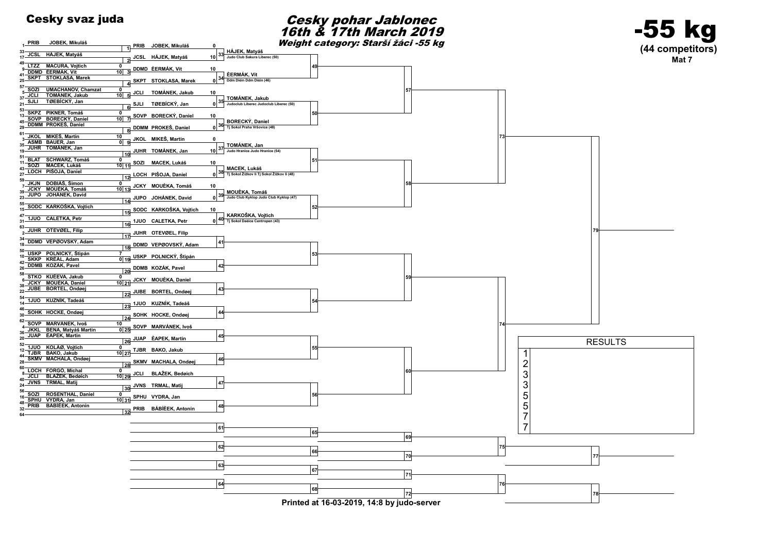

Printed at 16-03-2019, 14:8 by judo-server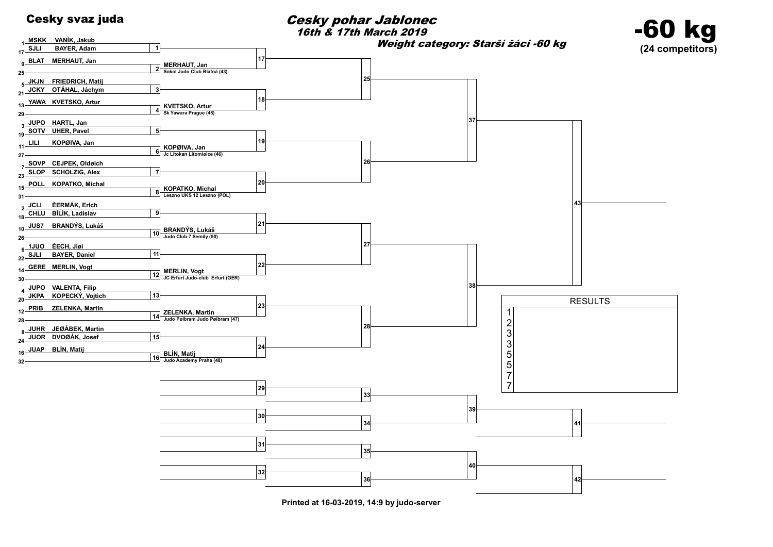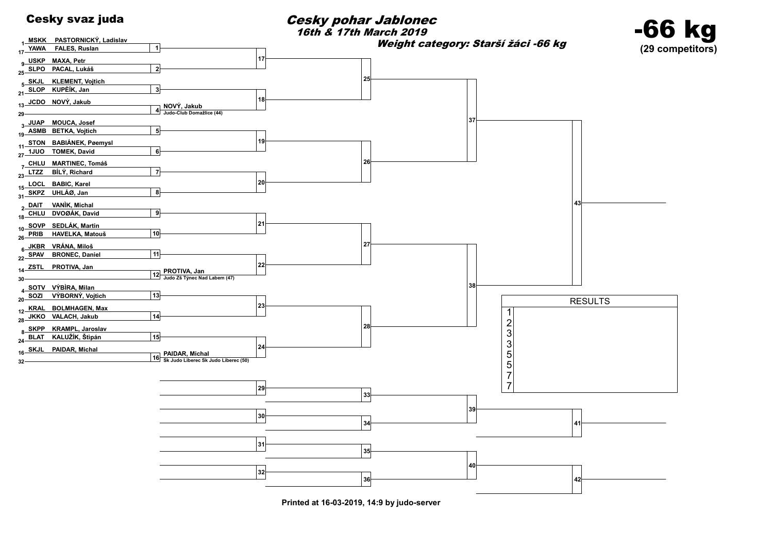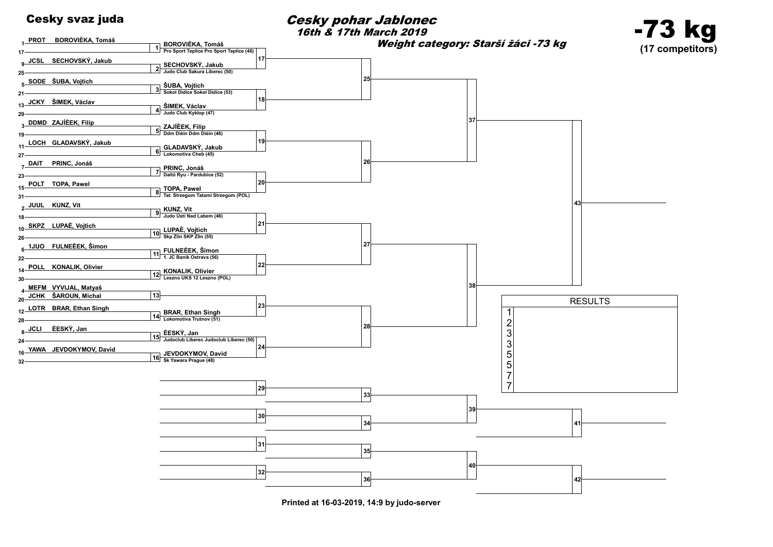

SODE ŠUBA, Vojtìch

7 DAIT PRINC, Jonáš

POLT TOPA, Pawel

2 JUUL KUNZ, Vít

<sub>8</sub> JCLI ÈESKÝ, Jan

 

 

 

 $12.$ 

 

 

 

 $10 -$ 

  $22 -$ 

 $32 -$ 

Cesky svaz juda Cesky pohar Jablonec



Printed at 16-03-2019, 14:9 by judo-server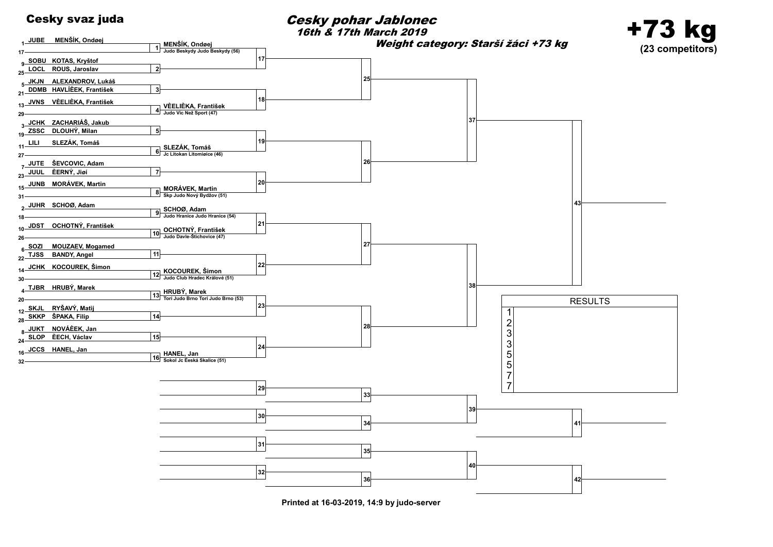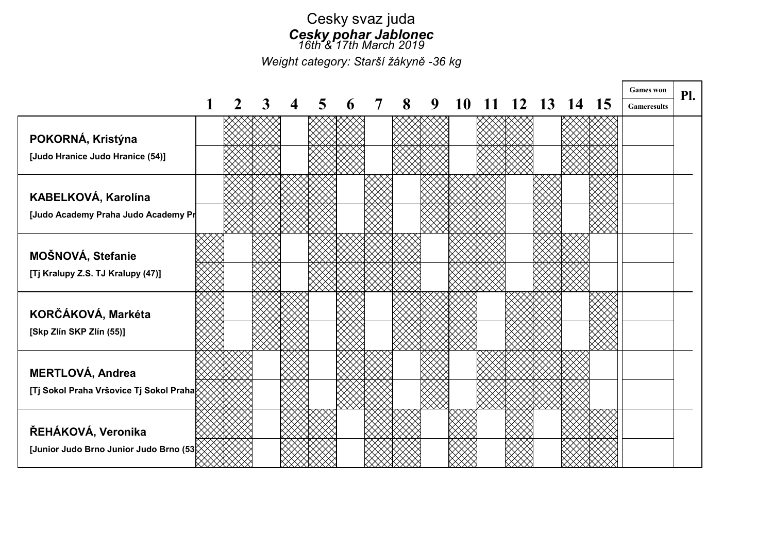### Cesky svaz juda Cesky pohar Jablonec 16th<sup>2</sup>'17th March 2019

Weight category: Starší žákyně -36 kg

|                                         |  |  |  |   |   |    |          |    |    |           | <b>Games</b> won   | Pl. |
|-----------------------------------------|--|--|--|---|---|----|----------|----|----|-----------|--------------------|-----|
|                                         |  |  |  | 8 | 9 | 10 | <u>2</u> | 13 | 14 | <b>15</b> | <b>Gameresults</b> |     |
|                                         |  |  |  |   |   |    |          |    |    |           |                    |     |
| POKORNÁ, Kristýna                       |  |  |  |   |   |    |          |    |    |           |                    |     |
| [Judo Hranice Judo Hranice (54)]        |  |  |  |   |   |    |          |    |    |           |                    |     |
|                                         |  |  |  |   |   |    |          |    |    |           |                    |     |
| KABELKOVÁ, Karolína                     |  |  |  |   |   |    |          |    |    |           |                    |     |
| [Judo Academy Praha Judo Academy Pr     |  |  |  |   |   |    |          |    |    |           |                    |     |
|                                         |  |  |  |   |   |    |          |    |    |           |                    |     |
|                                         |  |  |  |   |   |    |          |    |    |           |                    |     |
| MOŠNOVÁ, Stefanie                       |  |  |  |   |   |    |          |    |    |           |                    |     |
| [Tj Kralupy Z.S. TJ Kralupy (47)]       |  |  |  |   |   |    |          |    |    |           |                    |     |
|                                         |  |  |  |   |   |    |          |    |    |           |                    |     |
| KORČÁKOVÁ, Markéta                      |  |  |  |   |   |    |          |    |    |           |                    |     |
| [Skp Zlín SKP Zlín (55)]                |  |  |  |   |   |    |          |    |    |           |                    |     |
|                                         |  |  |  |   |   |    |          |    |    |           |                    |     |
|                                         |  |  |  |   |   |    |          |    |    |           |                    |     |
| MERTLOVÁ, Andrea                        |  |  |  |   |   |    |          |    |    |           |                    |     |
| [Tj Sokol Praha Vršovice Tj Sokol Praha |  |  |  |   |   |    |          |    |    |           |                    |     |
|                                         |  |  |  |   |   |    |          |    |    |           |                    |     |
| ŘEHÁKOVÁ, Veronika                      |  |  |  |   |   |    |          |    |    |           |                    |     |
| [Junior Judo Brno Junior Judo Brno (53  |  |  |  |   |   |    |          |    |    |           |                    |     |
|                                         |  |  |  |   |   |    |          |    |    |           |                    |     |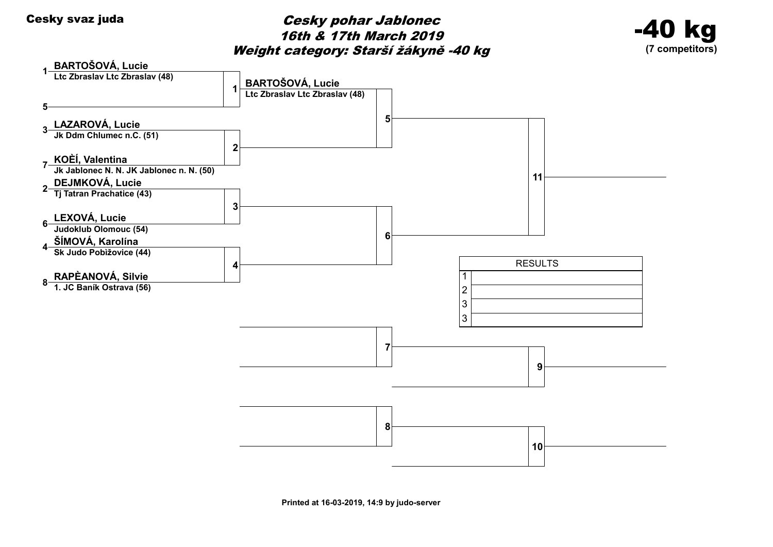# Cesky svaz juda<br>
Cesky pohar Jablonec 16th & 17th March 2019 Weight category: Starší žákyně -40 kg



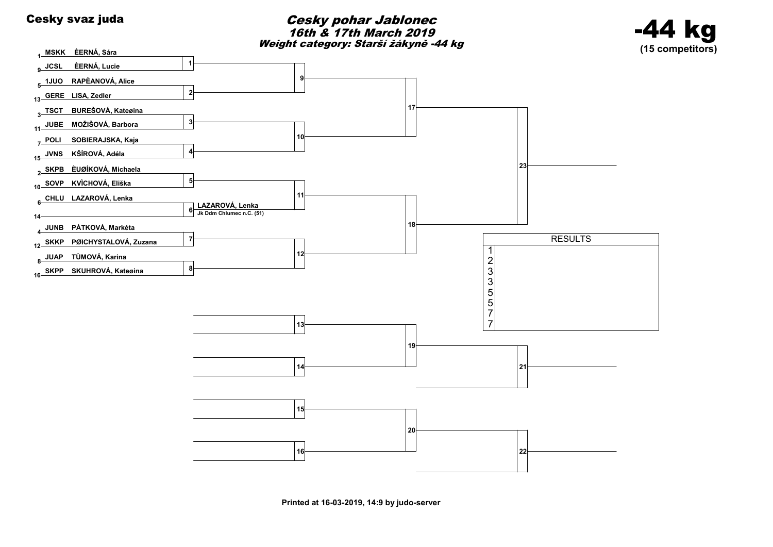### Cesky svaz juda<br>
Cesky svaz juda 16th & 17th March 2019 Weight category: Starší žákyně -44 kg



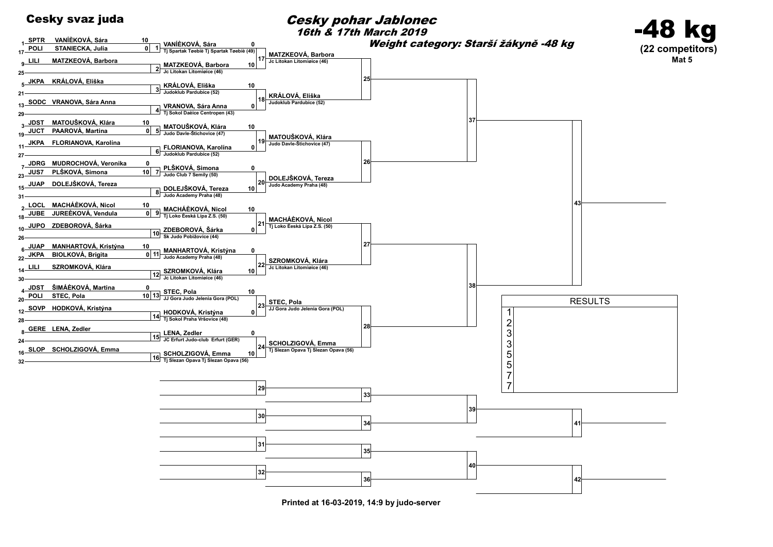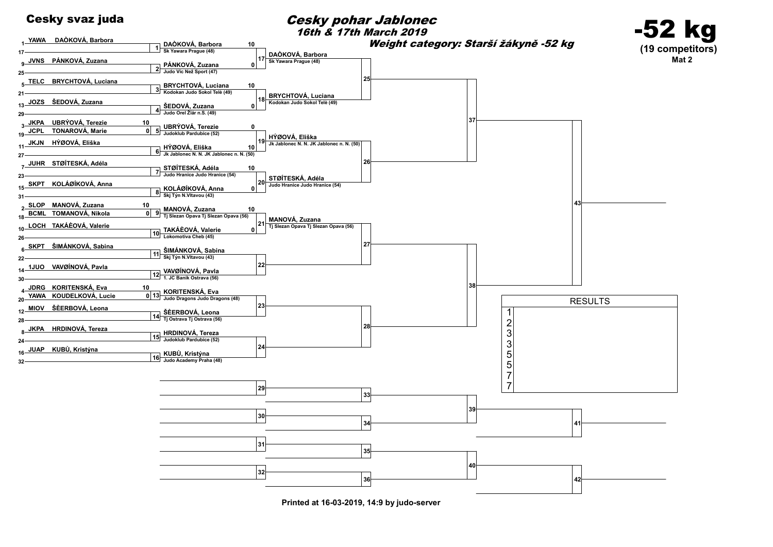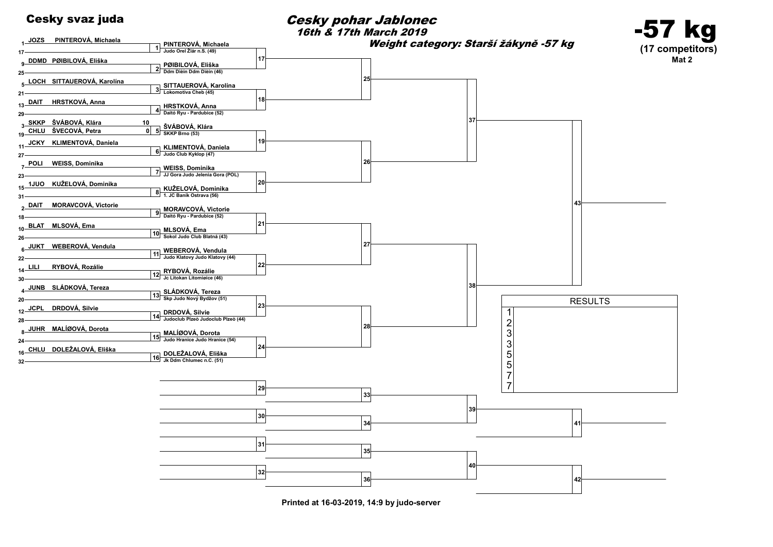

### Cesky svaz juda<br>
Cesky svaz juda 16th & 17th March 2019

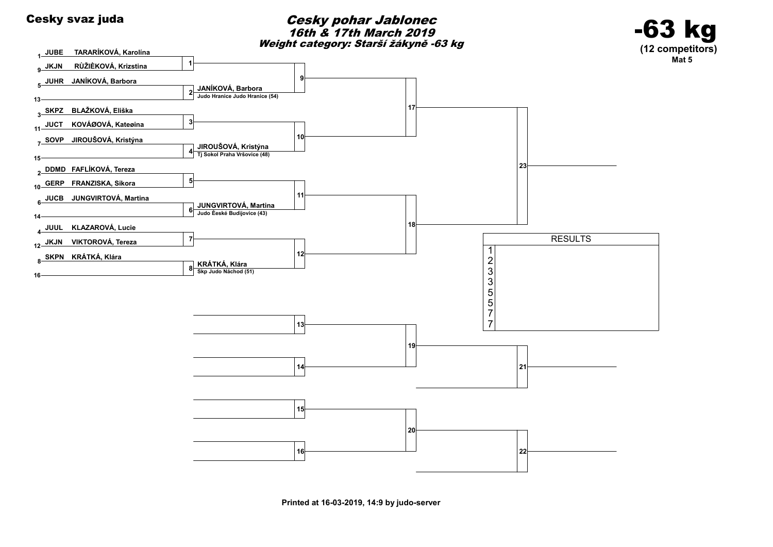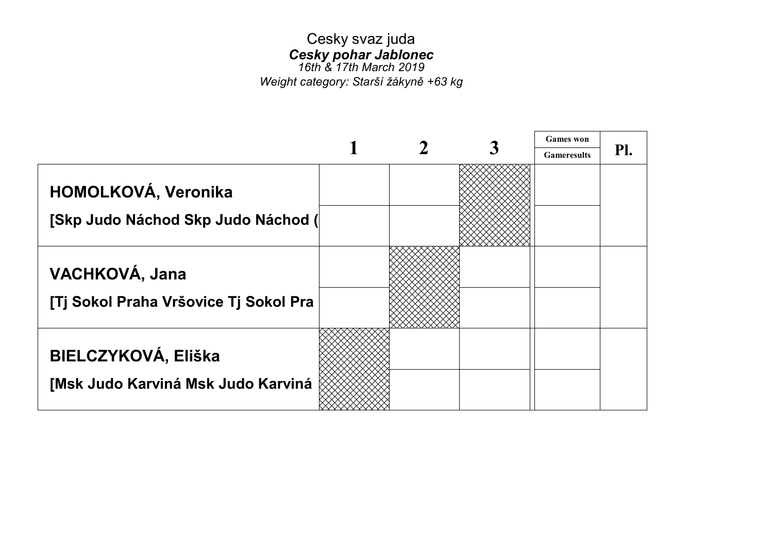# Cesky svaz juda Cesky pohar Jablonec

16th & 17th March 2019 Weight category: Starší žákyně +63 kg

|                                       |  | <b>Games</b> won   |     |
|---------------------------------------|--|--------------------|-----|
|                                       |  | <b>Gameresults</b> | Pl. |
| HOMOLKOVÁ, Veronika                   |  |                    |     |
| [Skp Judo Náchod Skp Judo Náchod (    |  |                    |     |
| VACHKOVÁ, Jana                        |  |                    |     |
| [Tj Sokol Praha Vršovice Tj Sokol Pra |  |                    |     |
| <b>BIELCZYKOVÁ, Eliška</b>            |  |                    |     |
| [Msk Judo Karviná Msk Judo Karviná    |  |                    |     |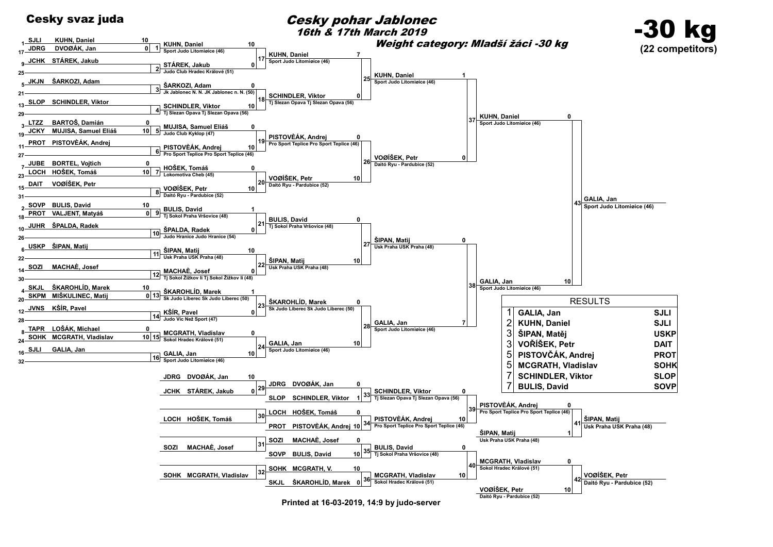

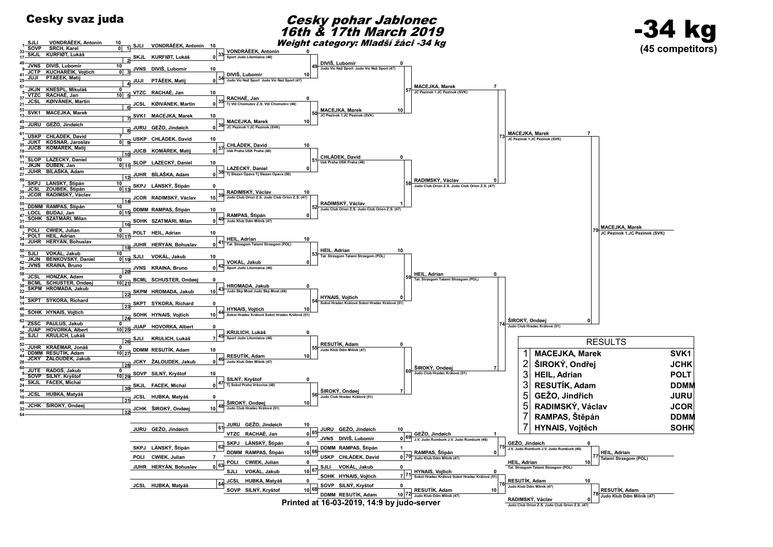

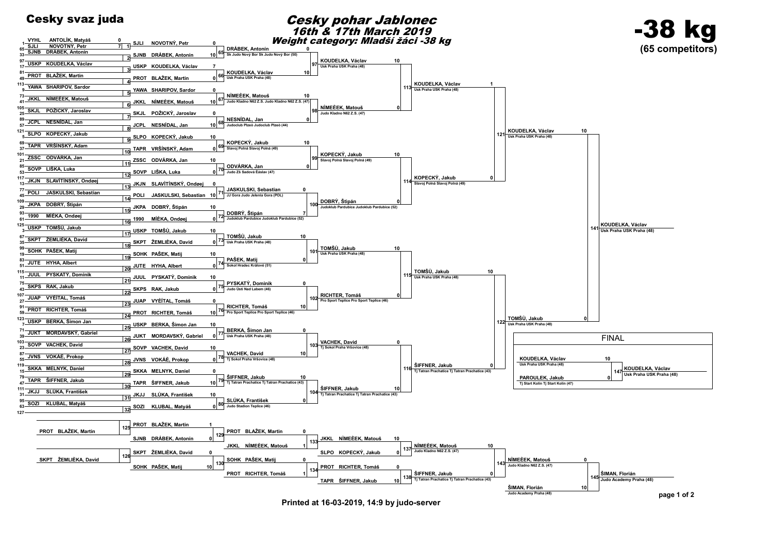

Printed at 16-03-2019, 14:9 by judo-server

page 1 of 2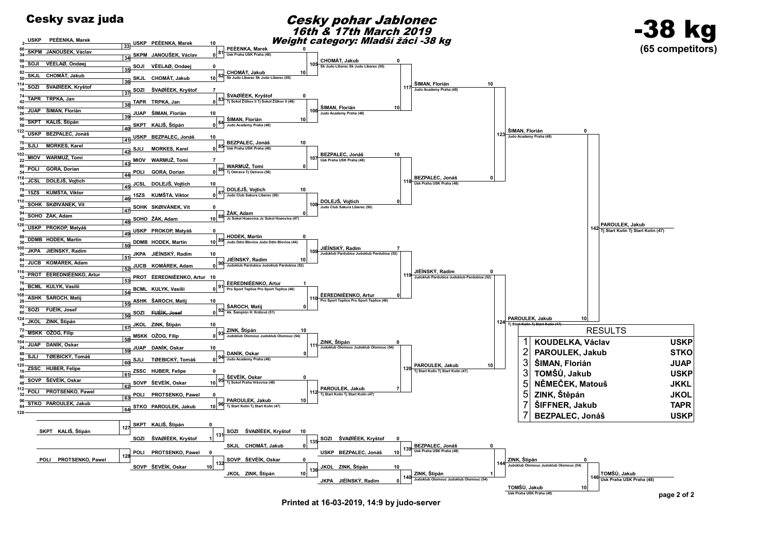USKP PEÈENKA, Marek

### Cesky svaz juda<br>
Cesky pohar Jablonec 16th & 17th March 2019 Weight category: Mladší žáci -38 kg



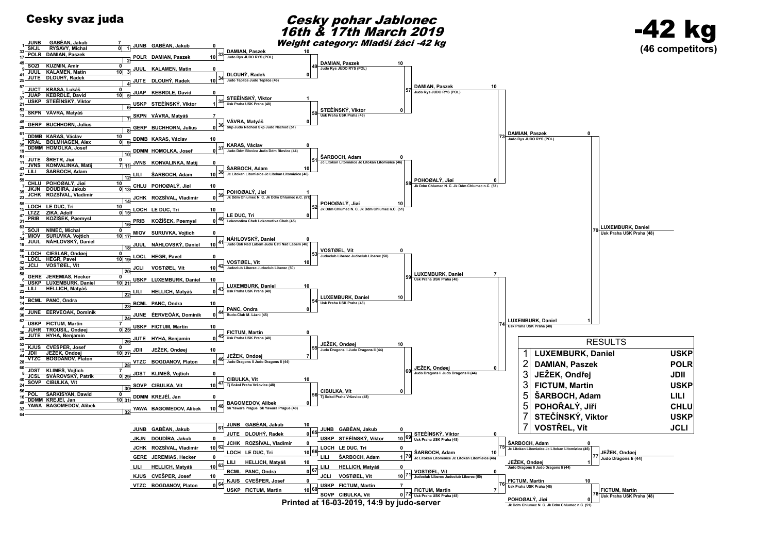



SOVP CIBULKA Vít Printed at 16-03-2019, 14:9 by judo-server

Jk Ddm Chlumec N. C. Jk Ddm Chlumec N. C. Jk Ddm Chlumec N. C. Jk Daniel Christ. C. Jk Daniel Christ. C. Jk Daniel Christ. C. Jk Daniel Christ. C. Jk Daniel Christ. C. Jk Daniel Christ. C. Jk Daniel Christ. C. Jk Daniel Ch

0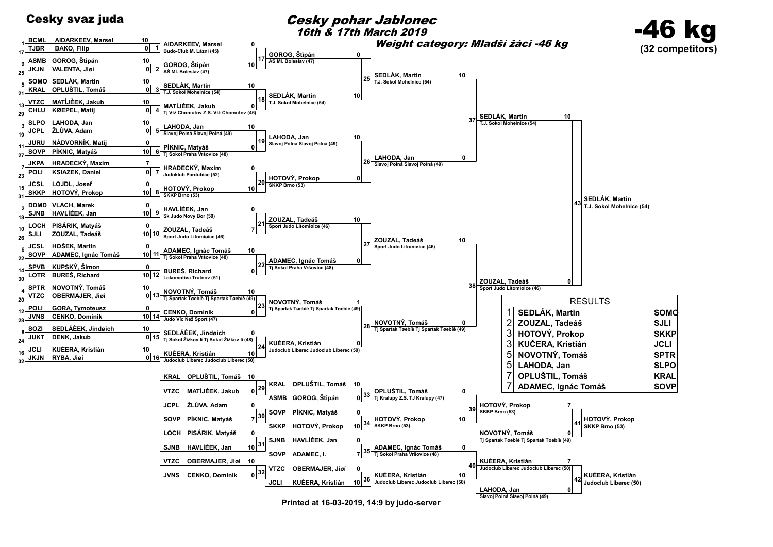

10

AIDARKEEV, Marsel

0

BCML AIDARKEEV, Marsel

1

Cesky svaz juda<br>
Cesky pohar Jablonec 16th & 17th March 2019

Weight category: Mladší žáci -46 kg



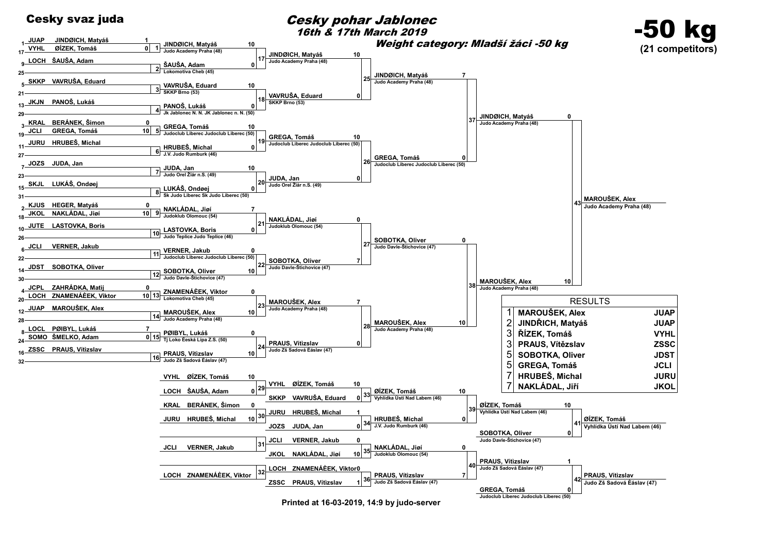

1

JINDØICH, Matyáš

10

JUAP JINDØICH, Matyáš

1

### Cesky svaz juda<br>
Cesky pohar Jablonec 16th & 17th March 2019

Weight category: Mladší žáci -50 kg



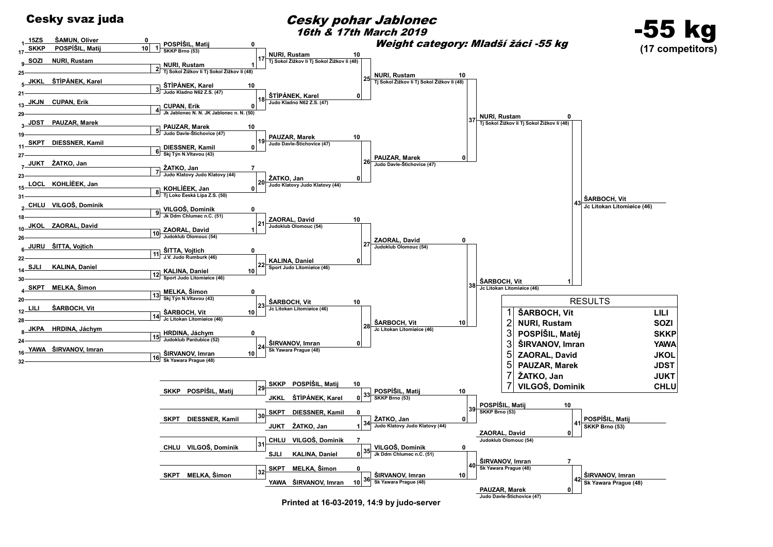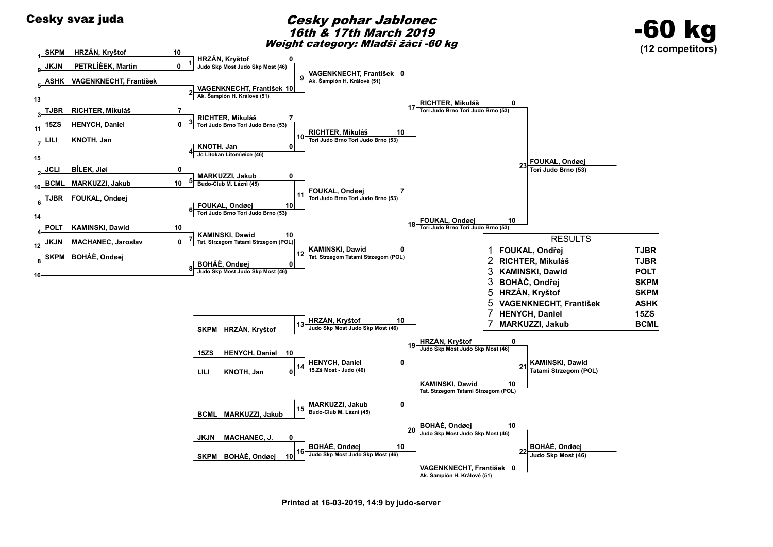

Printed at 16-03-2019, 14:9 by judo-server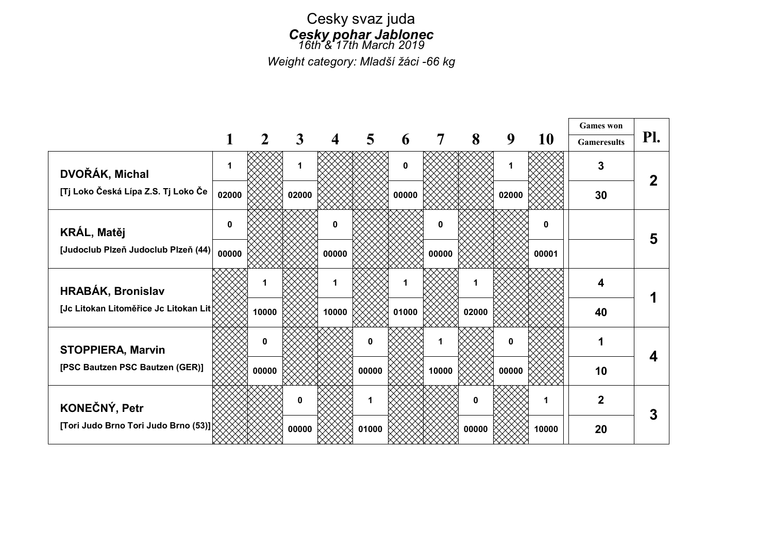### Cesky svaz juda Cesky pohar Jablonec 16th<sup>2</sup>'17th March 2019

Weight category: Mladší žáci -66 kg

|                                        |       |       |       |       |          |             |       |          |       |       | <b>Games</b> won   |     |
|----------------------------------------|-------|-------|-------|-------|----------|-------------|-------|----------|-------|-------|--------------------|-----|
|                                        |       |       | 3     | 4     | 5        | 6           |       | 8        | 9     | 10    | <b>Gameresults</b> | Pl. |
| DVOŘÁK, Michal                         | 1     |       | 1     |       |          | $\mathbf 0$ |       |          |       |       | 3                  |     |
| [Tj Loko Česká Lípa Z.S. Tj Loko Če    | 02000 |       | 02000 |       |          | 00000       |       |          | 02000 |       | 30                 |     |
| <b>KRÁL, Matěj</b>                     | 0     |       |       | 0     |          |             | 0     |          |       | 0     |                    | 5   |
| [Judoclub Plzeň Judoclub Plzeň (44)    | 00000 |       |       | 00000 |          |             | 00000 |          |       | 00001 |                    |     |
| HRABÁK, Bronislav                      |       |       |       | 1     |          |             |       |          |       |       | 4                  |     |
| [Jc Litokan Litoměřice Jc Litokan Lit) |       | 10000 |       | 10000 |          | 01000       |       | 02000    |       |       | 40                 |     |
| <b>STOPPIERA, Marvin</b>               |       | 0     |       |       | $\bf{0}$ |             |       |          | 0     |       |                    |     |
| [PSC Bautzen PSC Bautzen (GER)]        |       | 00000 |       |       | 00000    |             | 10000 |          | 00000 |       | 10                 |     |
| KONEČNÝ, Petr                          |       |       | 0     |       | 1        |             |       | $\Omega$ |       | 1     | $\mathbf 2$        | 3   |
| [Tori Judo Brno Tori Judo Brno (53)]   |       |       | 00000 |       | 01000    |             |       | 00000    |       | 10000 | 20                 |     |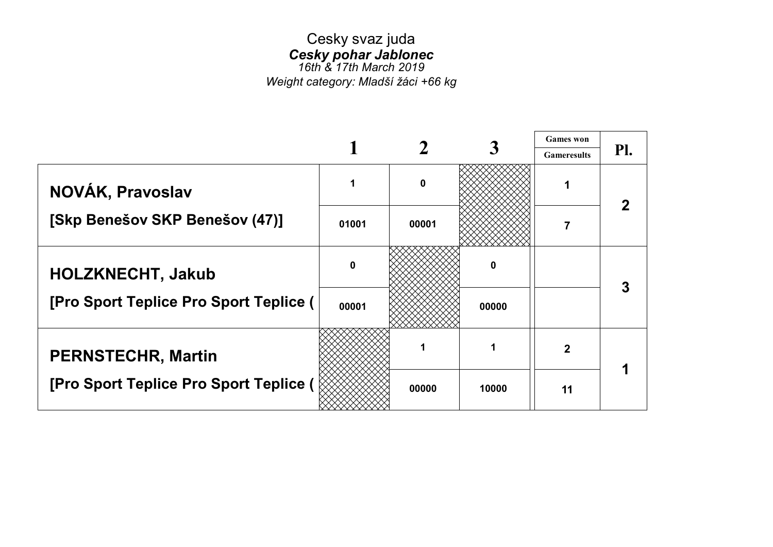# Cesky svaz juda Cesky pohar Jablonec

16th & 17th March 2019 Weight category: Mladší žáci +66 kg

|                                        |                |       |       | <b>Games</b> won   |     |
|----------------------------------------|----------------|-------|-------|--------------------|-----|
|                                        |                |       |       | <b>Gameresults</b> | Pl. |
| NOVÁK, Pravoslav                       | 1              | 0     |       |                    |     |
| [Skp Benešov SKP Benešov (47)]         | 01001          | 00001 |       | 7                  |     |
| <b>HOLZKNECHT, Jakub</b>               | $\bf{0}$       |       | 0     |                    | 3   |
| [Pro Sport Teplice Pro Sport Teplice ( | 00001<br>00000 |       |       |                    |     |
| <b>PERNSTECHR, Martin</b>              |                |       |       | $\mathbf{2}$       |     |
| [Pro Sport Teplice Pro Sport Teplice ( |                | 00000 | 10000 | 11                 |     |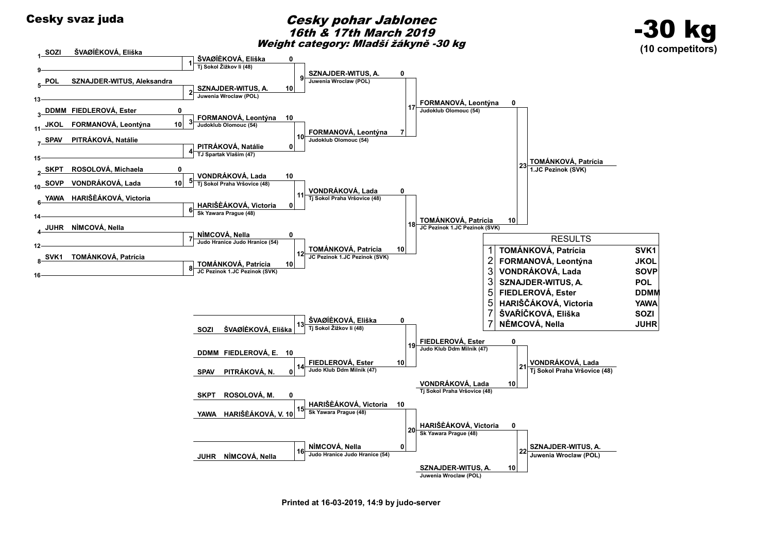

Printed at 16-03-2019, 14:9 by judo-server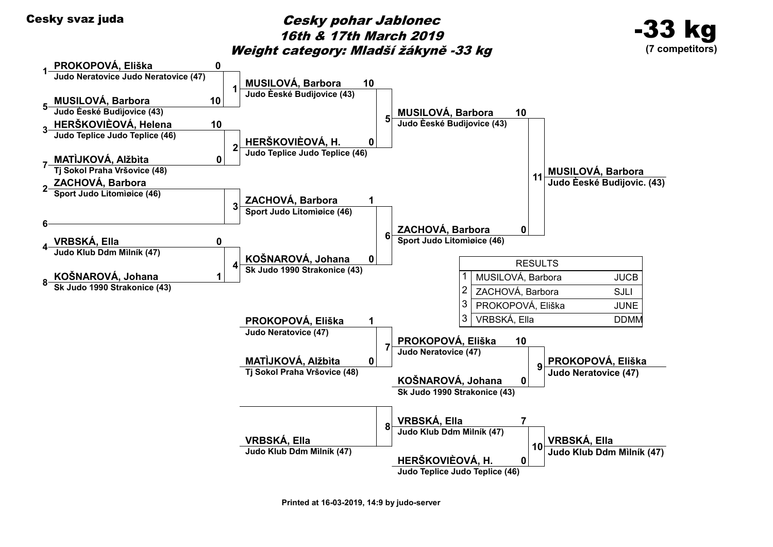# Cesky svaz juda<br>
Cesky pohar Jablonec 16th & 17th March 2019 Weight category: Mladší žákyně -33 kg



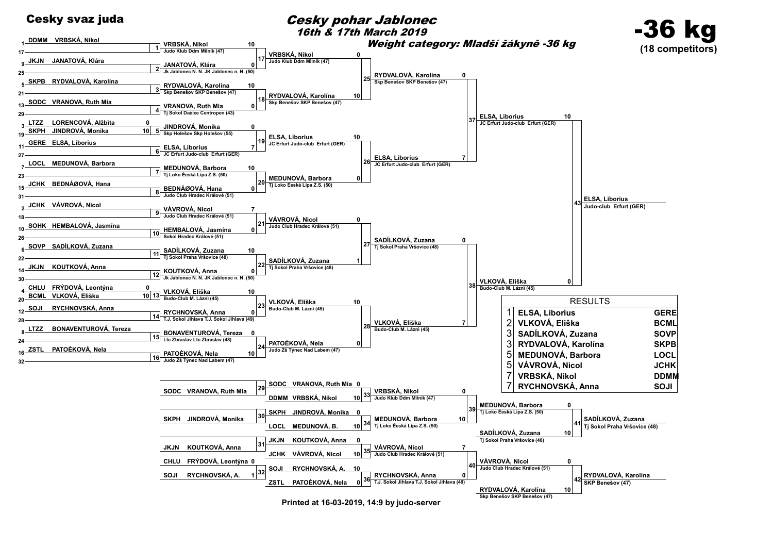

DDMM VRBSKÁ, Nikol

### Cesky svaz juda<br>
Cesky pohar Jablonec 16th & 17th March 2019



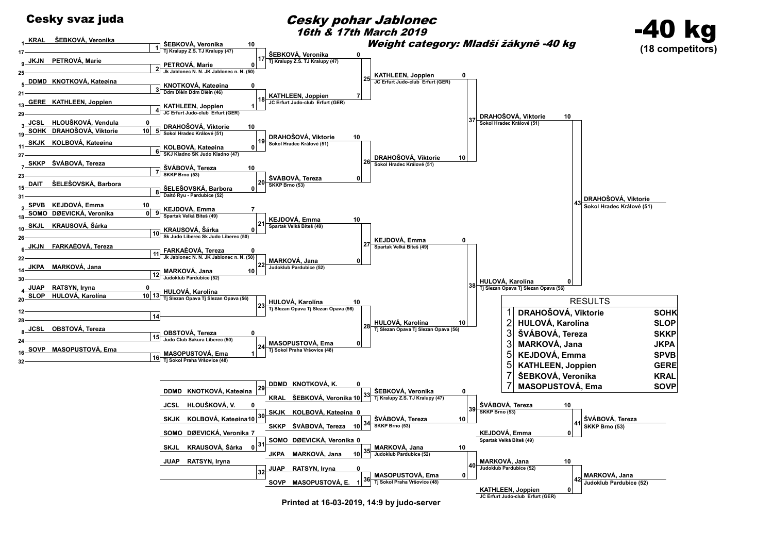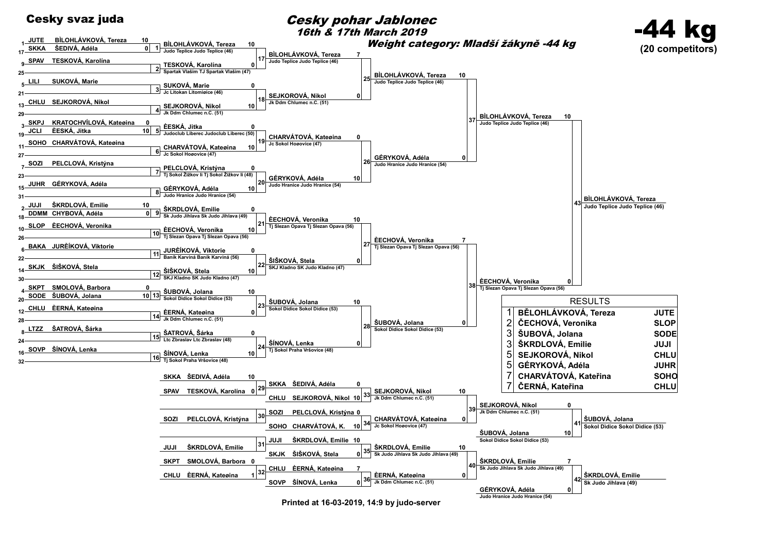

1 17

9 25

5  $2<sub>1</sub>$ 

13 29

3 19

11 27

7 23

15 31

> 2 18

10 26

6 22

14 30

> 4 20

12 28

8 24

16 32

Cesky svaz juda<br>
Cesky pohar Jablonec 16th & 17th March 2019

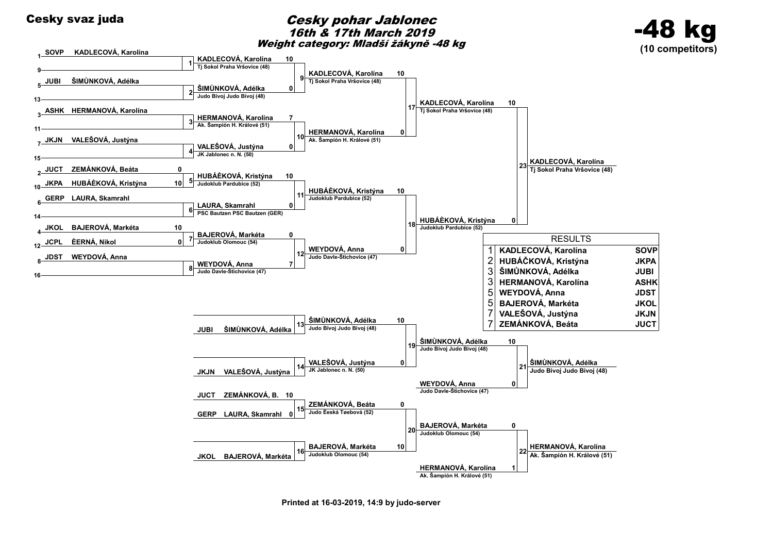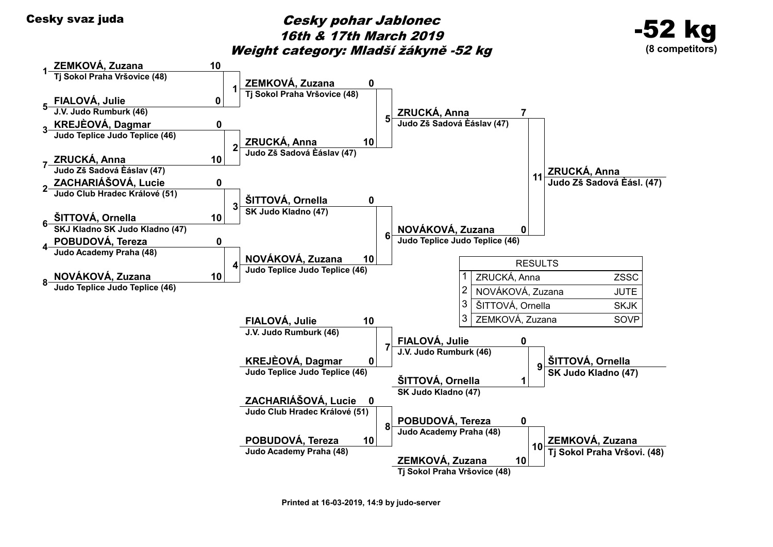## Cesky svaz juda<br>
Cesky pohar Jablonec 16th & 17th March 2019 Weight category: Mladší žákyně -52 kg



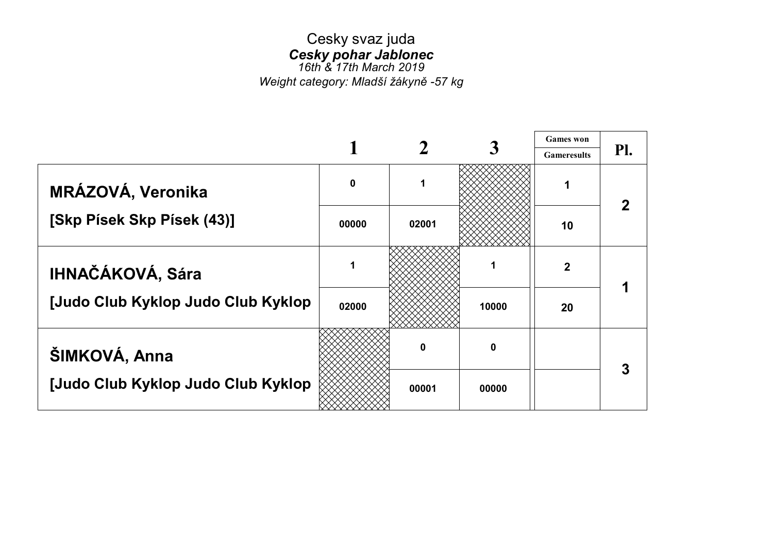# Cesky svaz juda Cesky pohar Jablonec

16th & 17th March 2019 Weight category: Mladší žákyně -57 kg

|                                    |                  |       |       | <b>Games</b> won   |     |
|------------------------------------|------------------|-------|-------|--------------------|-----|
|                                    |                  |       |       | <b>Gameresults</b> | Pl. |
| MRÁZOVÁ, Veronika                  | $\boldsymbol{0}$ |       |       |                    |     |
| [Skp Písek Skp Písek (43)]         | 00000            | 02001 |       | 10                 |     |
| <b>IHNAČÁKOVÁ, Sára</b>            | 1                |       |       | $\mathbf{2}$       |     |
| [Judo Club Kyklop Judo Club Kyklop | 02000            |       | 10000 | 20                 |     |
| ŠIMKOVÁ, Anna                      |                  | 0     | 0     |                    | 3   |
| [Judo Club Kyklop Judo Club Kyklop |                  | 00001 | 00000 |                    |     |